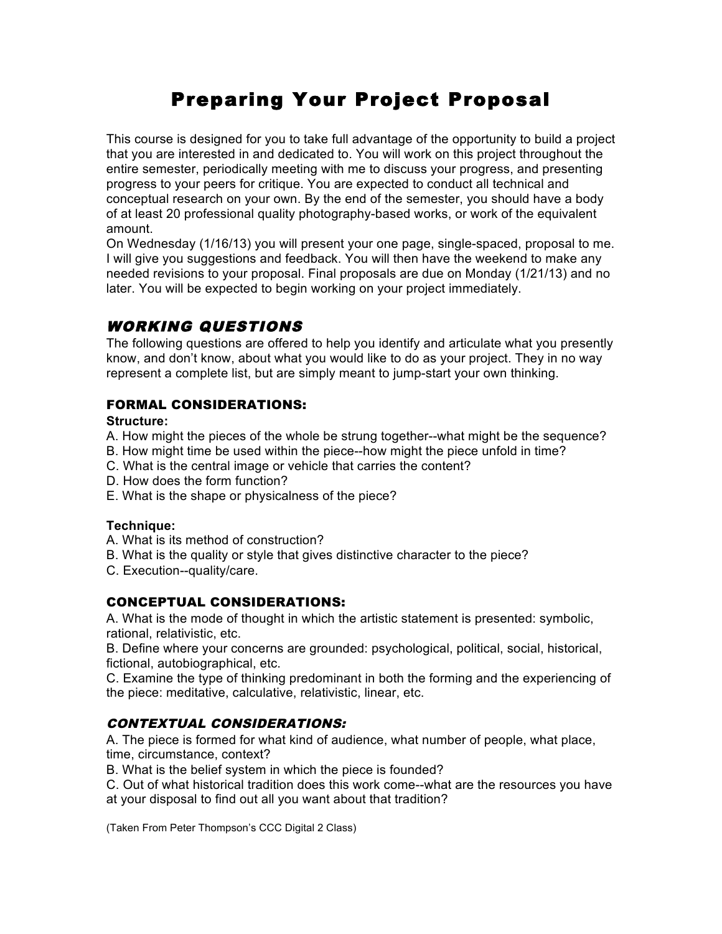# Preparing Your Project Proposal

This course is designed for you to take full advantage of the opportunity to build a project that you are interested in and dedicated to. You will work on this project throughout the entire semester, periodically meeting with me to discuss your progress, and presenting progress to your peers for critique. You are expected to conduct all technical and conceptual research on your own. By the end of the semester, you should have a body of at least 20 professional quality photography-based works, or work of the equivalent amount.

On Wednesday (1/16/13) you will present your one page, single-spaced, proposal to me. I will give you suggestions and feedback. You will then have the weekend to make any needed revisions to your proposal. Final proposals are due on Monday (1/21/13) and no later. You will be expected to begin working on your project immediately.

## WORKING QUESTIONS

The following questions are offered to help you identify and articulate what you presently know, and don't know, about what you would like to do as your project. They in no way represent a complete list, but are simply meant to jump-start your own thinking.

## FORMAL CONSIDERATIONS:

## **Structure:**

A. How might the pieces of the whole be strung together--what might be the sequence?

- B. How might time be used within the piece--how might the piece unfold in time?
- C. What is the central image or vehicle that carries the content?
- D. How does the form function?
- E. What is the shape or physicalness of the piece?

## **Technique:**

- A. What is its method of construction?
- B. What is the quality or style that gives distinctive character to the piece?
- C. Execution--quality/care.

## CONCEPTUAL CONSIDERATIONS:

A. What is the mode of thought in which the artistic statement is presented: symbolic, rational, relativistic, etc.

B. Define where your concerns are grounded: psychological, political, social, historical, fictional, autobiographical, etc.

C. Examine the type of thinking predominant in both the forming and the experiencing of the piece: meditative, calculative, relativistic, linear, etc.

## CONTEXTUAL CONSIDERATIONS:

A. The piece is formed for what kind of audience, what number of people, what place, time, circumstance, context?

B. What is the belief system in which the piece is founded?

C. Out of what historical tradition does this work come--what are the resources you have at your disposal to find out all you want about that tradition?

(Taken From Peter Thompson's CCC Digital 2 Class)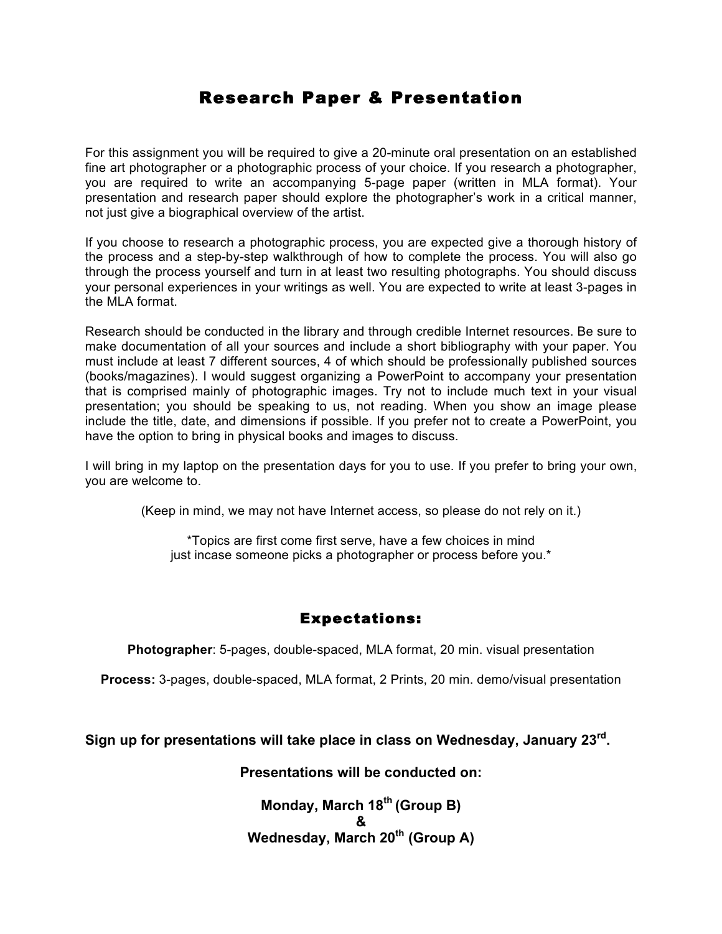## Research Paper & Presentation

For this assignment you will be required to give a 20-minute oral presentation on an established fine art photographer or a photographic process of your choice. If you research a photographer, you are required to write an accompanying 5-page paper (written in MLA format). Your presentation and research paper should explore the photographer's work in a critical manner, not just give a biographical overview of the artist.

If you choose to research a photographic process, you are expected give a thorough history of the process and a step-by-step walkthrough of how to complete the process. You will also go through the process yourself and turn in at least two resulting photographs. You should discuss your personal experiences in your writings as well. You are expected to write at least 3-pages in the MLA format.

Research should be conducted in the library and through credible Internet resources. Be sure to make documentation of all your sources and include a short bibliography with your paper. You must include at least 7 different sources, 4 of which should be professionally published sources (books/magazines). I would suggest organizing a PowerPoint to accompany your presentation that is comprised mainly of photographic images. Try not to include much text in your visual presentation; you should be speaking to us, not reading. When you show an image please include the title, date, and dimensions if possible. If you prefer not to create a PowerPoint, you have the option to bring in physical books and images to discuss.

I will bring in my laptop on the presentation days for you to use. If you prefer to bring your own, you are welcome to.

(Keep in mind, we may not have Internet access, so please do not rely on it.)

\*Topics are first come first serve, have a few choices in mind just incase someone picks a photographer or process before you.<sup>\*</sup>

## Expectations:

**Photographer**: 5-pages, double-spaced, MLA format, 20 min. visual presentation

**Process:** 3-pages, double-spaced, MLA format, 2 Prints, 20 min. demo/visual presentation

## **Sign up for presentations will take place in class on Wednesday, January 23rd.**

## **Presentations will be conducted on:**

**Monday, March 18th (Group B) & Wednesday, March 20th (Group A)**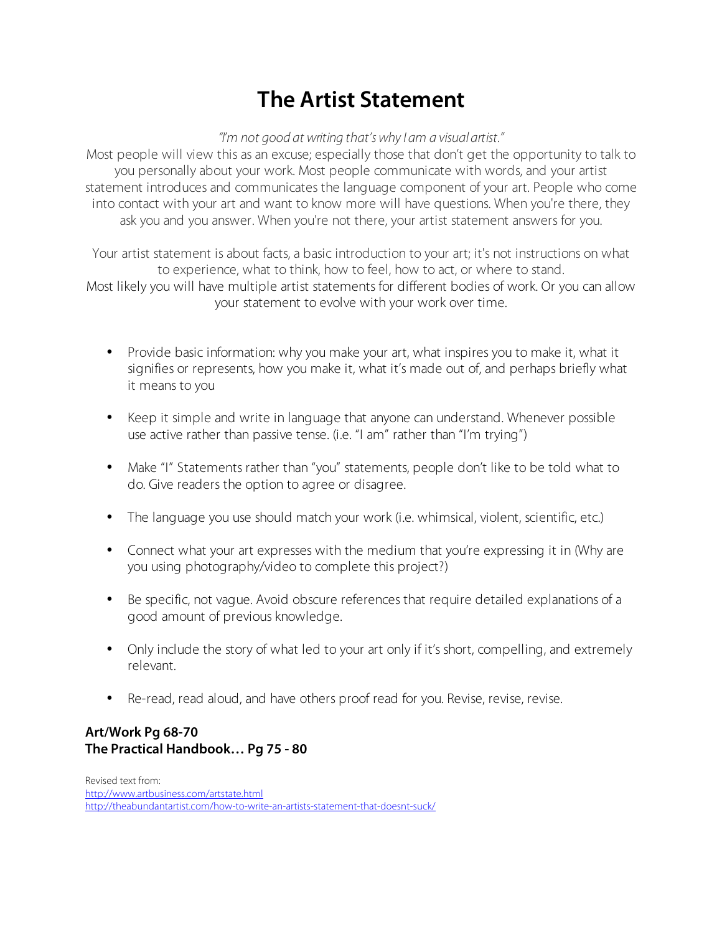# **The Artist Statement**

*"I'm not good at writing that's why I am a visual artist."*

Most people will view this as an excuse; especially those that don't get the opportunity to talk to you personally about your work. Most people communicate with words, and your artist statement introduces and communicates the language component of your art. People who come into contact with your art and want to know more will have questions. When you're there, they ask you and you answer. When you're not there, your artist statement answers for you.

Your artist statement is about facts, a basic introduction to your art; it's not instructions on what to experience, what to think, how to feel, how to act, or where to stand. Most likely you will have multiple artist statements for different bodies of work. Or you can allow your statement to evolve with your work over time.

- Provide basic information: why you make your art, what inspires you to make it, what it signifies or represents, how you make it, what it's made out of, and perhaps briefly what it means to you
- Keep it simple and write in language that anyone can understand. Whenever possible use active rather than passive tense. (i.e. "I am" rather than "I'm trying")
- Make "I" Statements rather than "you" statements, people don't like to be told what to do. Give readers the option to agree or disagree.
- The language you use should match your work (i.e. whimsical, violent, scientific, etc.)
- Connect what your art expresses with the medium that you're expressing it in (Why are you using photography/video to complete this project?)
- Be specific, not vague. Avoid obscure references that require detailed explanations of a good amount of previous knowledge.
- Only include the story of what led to your art only if it's short, compelling, and extremely relevant.
- Re-read, read aloud, and have others proof read for you. Revise, revise, revise.

## **Art/Work Pg 68-70 The Practical Handbook… Pg 75 - 80**

Revised text from: http://www.artbusiness.com/artstate.html http://theabundantartist.com/how-to-write-an-artists-statement-that-doesnt-suck/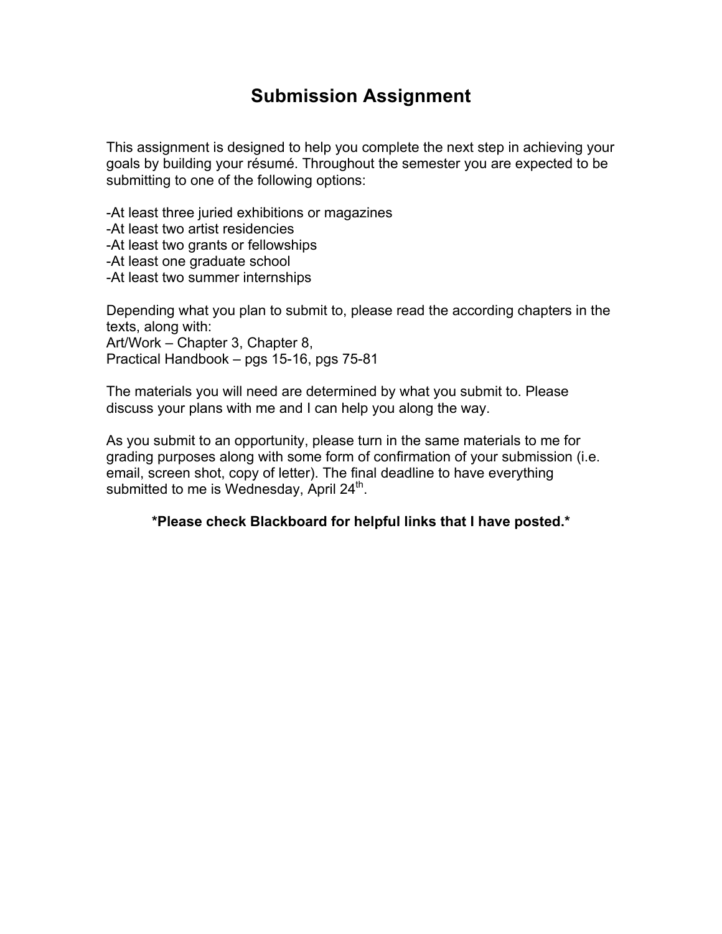## **Submission Assignment**

This assignment is designed to help you complete the next step in achieving your goals by building your résumé. Throughout the semester you are expected to be submitting to one of the following options:

-At least three juried exhibitions or magazines

-At least two artist residencies

-At least two grants or fellowships

-At least one graduate school

-At least two summer internships

Depending what you plan to submit to, please read the according chapters in the texts, along with: Art/Work – Chapter 3, Chapter 8, Practical Handbook – pgs 15-16, pgs 75-81

The materials you will need are determined by what you submit to. Please discuss your plans with me and I can help you along the way.

As you submit to an opportunity, please turn in the same materials to me for grading purposes along with some form of confirmation of your submission (i.e. email, screen shot, copy of letter). The final deadline to have everything submitted to me is Wednesday, April  $24<sup>th</sup>$ .

**\*Please check Blackboard for helpful links that I have posted.\***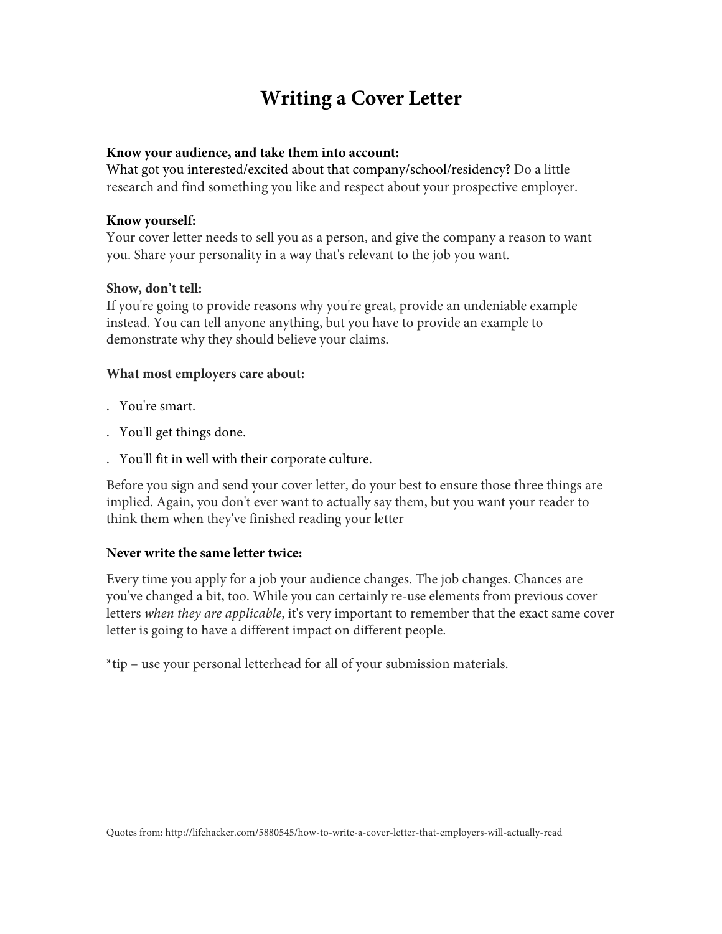# **Writing a Cover Letter**

## **Know your audience, and take them into account:**

What got you interested/excited about that company/school/residency? Do a little research and find something you like and respect about your prospective employer.

## **Know yourself:**

Your cover letter needs to sell you as a person, and give the company a reason to want you. Share your personality in a way that's relevant to the job you want.

## **Show, don't tell:**

If you're going to provide reasons why you're great, provide an undeniable example instead. You can tell anyone anything, but you have to provide an example to demonstrate why they should believe your claims.

## **What most employers care about:**

- . You're smart.
- . You'll get things done.
- . You'll fit in well with their corporate culture.

Before you sign and send your cover letter, do your best to ensure those three things are implied. Again, you don't ever want to actually say them, but you want your reader to think them when they've finished reading your letter

## **Never write the same letter twice:**

Every time you apply for a job your audience changes. The job changes. Chances are you've changed a bit, too. While you can certainly re-use elements from previous cover letters *when they are applicable*, it's very important to remember that the exact same cover letter is going to have a different impact on different people.

\*tip – use your personal letterhead for all of your submission materials.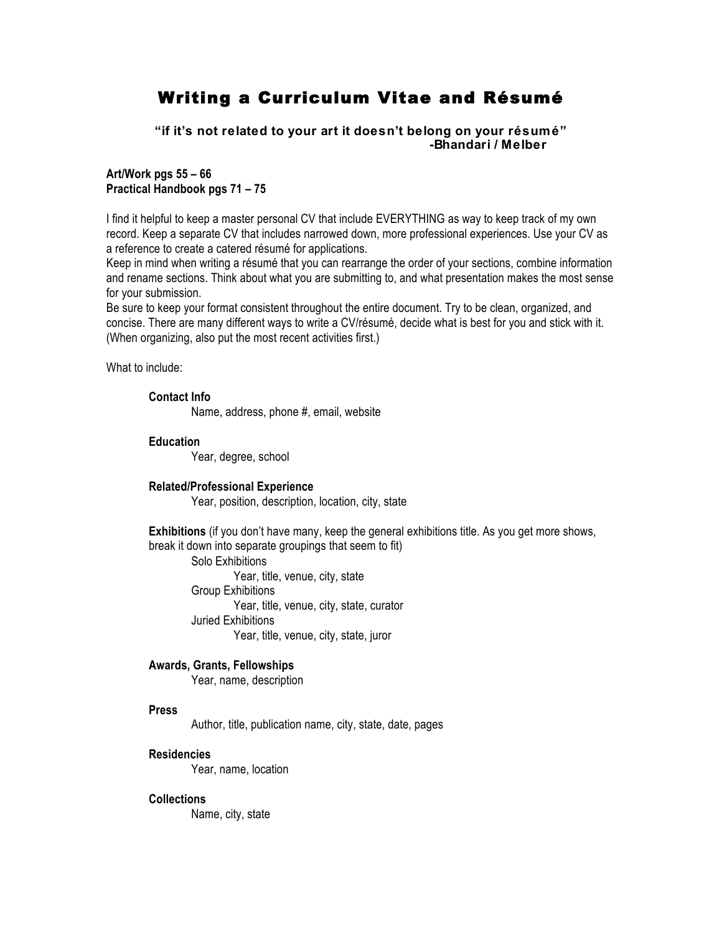## Writing a Curriculum Vitae and Résumé

**"if it's not related to your art it doesn't belong on your résumé" -Bhandari / Melber**

**Art/Work pgs 55 – 66 Practical Handbook pgs 71 – 75**

I find it helpful to keep a master personal CV that include EVERYTHING as way to keep track of my own record. Keep a separate CV that includes narrowed down, more professional experiences. Use your CV as a reference to create a catered résumé for applications.

Keep in mind when writing a résumé that you can rearrange the order of your sections, combine information and rename sections. Think about what you are submitting to, and what presentation makes the most sense for your submission.

Be sure to keep your format consistent throughout the entire document. Try to be clean, organized, and concise. There are many different ways to write a CV/résumé, decide what is best for you and stick with it. (When organizing, also put the most recent activities first.)

What to include:

**Contact Info**

Name, address, phone #, email, website

**Education**

Year, degree, school

#### **Related/Professional Experience**

Year, position, description, location, city, state

**Exhibitions** (if you don't have many, keep the general exhibitions title. As you get more shows, break it down into separate groupings that seem to fit)

Solo Exhibitions Year, title, venue, city, state Group Exhibitions Year, title, venue, city, state, curator Juried Exhibitions Year, title, venue, city, state, juror

#### **Awards, Grants, Fellowships**

Year, name, description

#### **Press**

Author, title, publication name, city, state, date, pages

### **Residencies**

Year, name, location

### **Collections**

Name, city, state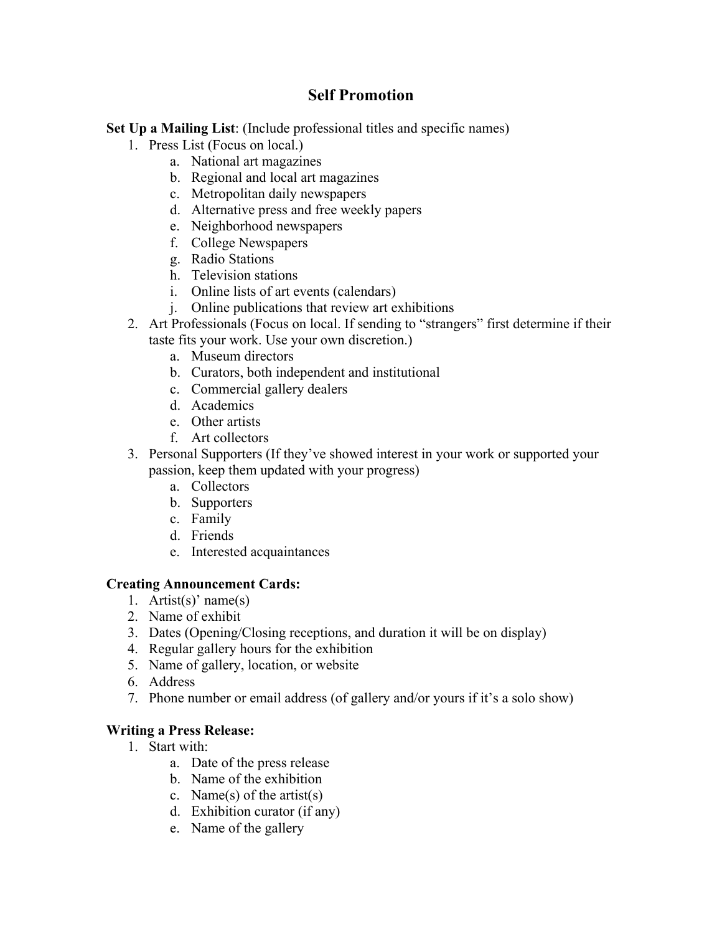## **Self Promotion**

**Set Up a Mailing List**: (Include professional titles and specific names)

- 1. Press List (Focus on local.)
	- a. National art magazines
	- b. Regional and local art magazines
	- c. Metropolitan daily newspapers
	- d. Alternative press and free weekly papers
	- e. Neighborhood newspapers
	- f. College Newspapers
	- g. Radio Stations
	- h. Television stations
	- i. Online lists of art events (calendars)
	- j. Online publications that review art exhibitions
- 2. Art Professionals (Focus on local. If sending to "strangers" first determine if their taste fits your work. Use your own discretion.)
	- a. Museum directors
	- b. Curators, both independent and institutional
	- c. Commercial gallery dealers
	- d. Academics
	- e. Other artists
	- f. Art collectors
- 3. Personal Supporters (If they've showed interest in your work or supported your passion, keep them updated with your progress)
	- a. Collectors
	- b. Supporters
	- c. Family
	- d. Friends
	- e. Interested acquaintances

## **Creating Announcement Cards:**

- 1. Artist(s)' name(s)
- 2. Name of exhibit
- 3. Dates (Opening/Closing receptions, and duration it will be on display)
- 4. Regular gallery hours for the exhibition
- 5. Name of gallery, location, or website
- 6. Address
- 7. Phone number or email address (of gallery and/or yours if it's a solo show)

## **Writing a Press Release:**

- 1. Start with:
	- a. Date of the press release
	- b. Name of the exhibition
	- c. Name(s) of the artist(s)
	- d. Exhibition curator (if any)
	- e. Name of the gallery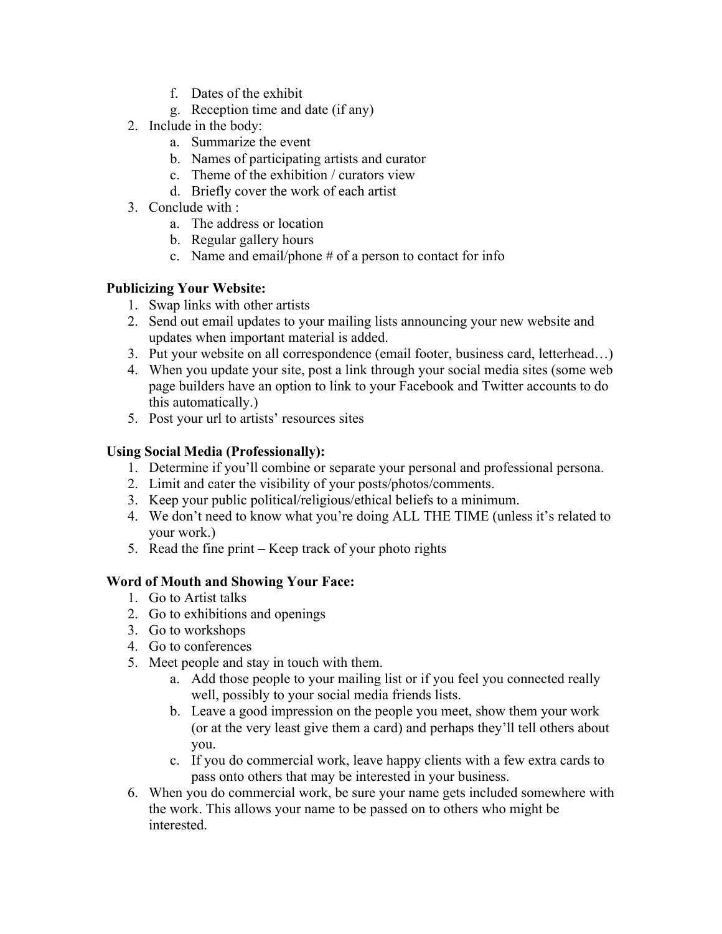- f. Dates of the exhibit
- g. Reception time and date (if any)
- 2. Include in the body:
	- a. Summarize the event
	- b. Names of participating artists and curator
	- c. Theme of the exhibition / curators view
	- d. Briefly cover the work of each artist
- 3. Conclude with :
	- a. The address or location
	- b. Regular gallery hours
	- c. Name and email/phone  $#$  of a person to contact for info

## **Publicizing Your Website:**

- 1. Swap links with other artists
- 2. Send out email updates to your mailing lists announcing your new website and updates when important material is added.
- 3. Put your website on all correspondence (email footer, business card, letterhead…)
- 4. When you update your site, post a link through your social media sites (some web page builders have an option to link to your Facebook and Twitter accounts to do this automatically.)
- 5. Post your url to artists' resources sites

## **Using Social Media (Professionally):**

- 1. Determine if you'll combine or separate your personal and professional persona.
- 2. Limit and cater the visibility of your posts/photos/comments.
- 3. Keep your public political/religious/ethical beliefs to a minimum.
- 4. We don't need to know what you're doing ALL THE TIME (unless it's related to your work.)
- 5. Read the fine print Keep track of your photo rights

## **Word of Mouth and Showing Your Face:**

- 1. Go to Artist talks
- 2. Go to exhibitions and openings
- 3. Go to workshops
- 4. Go to conferences
- 5. Meet people and stay in touch with them.
	- a. Add those people to your mailing list or if you feel you connected really well, possibly to your social media friends lists.
	- b. Leave a good impression on the people you meet, show them your work (or at the very least give them a card) and perhaps they'll tell others about you.
	- c. If you do commercial work, leave happy clients with a few extra cards to pass onto others that may be interested in your business.
- 6. When you do commercial work, be sure your name gets included somewhere with the work. This allows your name to be passed on to others who might be interested.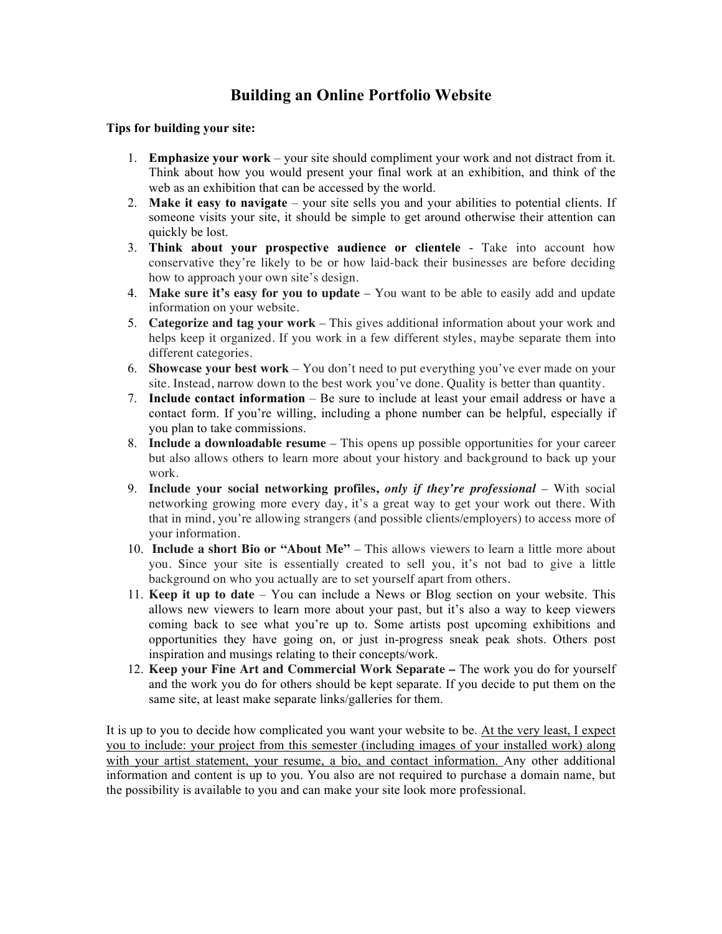## **Building an Online Portfolio Website**

### **Tips for building your site:**

- 1. **Emphasize your work** your site should compliment your work and not distract from it. Think about how you would present your final work at an exhibition, and think of the web as an exhibition that can be accessed by the world.
- 2. **Make it easy to navigate** your site sells you and your abilities to potential clients. If someone visits your site, it should be simple to get around otherwise their attention can quickly be lost.
- 3. **Think about your prospective audience or clientele** Take into account how conservative they're likely to be or how laid-back their businesses are before deciding how to approach your own site's design.
- 4. **Make sure it's easy for you to update** You want to be able to easily add and update information on your website.
- 5. **Categorize and tag your work** This gives additional information about your work and helps keep it organized. If you work in a few different styles, maybe separate them into different categories.
- 6. **Showcase your best work** You don't need to put everything you've ever made on your site. Instead, narrow down to the best work you've done. Quality is better than quantity.
- 7. **Include contact information** Be sure to include at least your email address or have a contact form. If you're willing, including a phone number can be helpful, especially if you plan to take commissions.
- 8. **Include a downloadable resume** This opens up possible opportunities for your career but also allows others to learn more about your history and background to back up your work.
- 9. **Include your social networking profiles,** *only if they're professional* With social networking growing more every day, it's a great way to get your work out there. With that in mind, you're allowing strangers (and possible clients/employers) to access more of your information.
- 10. **Include a short Bio or "About Me"** This allows viewers to learn a little more about you. Since your site is essentially created to sell you, it's not bad to give a little background on who you actually are to set yourself apart from others.
- 11. **Keep it up to date**  You can include a News or Blog section on your website. This allows new viewers to learn more about your past, but it's also a way to keep viewers coming back to see what you're up to. Some artists post upcoming exhibitions and opportunities they have going on, or just in-progress sneak peak shots. Others post inspiration and musings relating to their concepts/work.
- 12. **Keep your Fine Art and Commercial Work Separate –** The work you do for yourself and the work you do for others should be kept separate. If you decide to put them on the same site, at least make separate links/galleries for them.

It is up to you to decide how complicated you want your website to be. At the very least, I expect you to include: your project from this semester (including images of your installed work) along with your artist statement, your resume, a bio, and contact information. Any other additional information and content is up to you. You also are not required to purchase a domain name, but the possibility is available to you and can make your site look more professional.